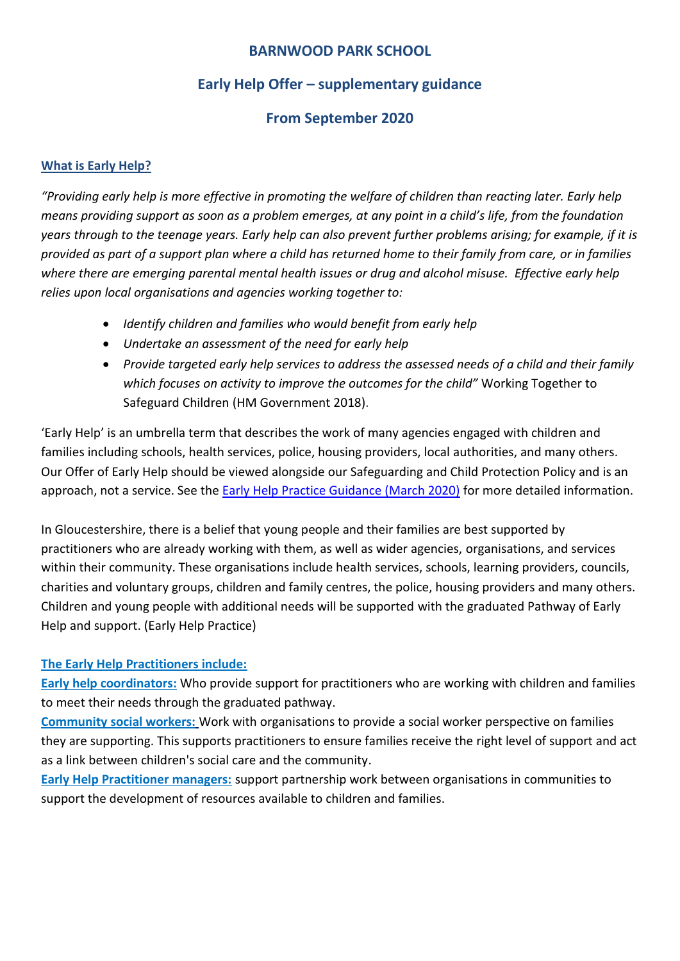### **Early Help Offer – supplementary guidance**

### **From September 2020**

#### **What is Early Help?**

*"Providing early help is more effective in promoting the welfare of children than reacting later. Early help means providing support as soon as a problem emerges, at any point in a child's life, from the foundation years through to the teenage years. Early help can also prevent further problems arising; for example, if it is provided as part of a support plan where a child has returned home to their family from care, or in families where there are emerging parental mental health issues or drug and alcohol misuse. Effective early help relies upon local organisations and agencies working together to:*

- *Identify children and families who would benefit from early help*
- *Undertake an assessment of the need for early help*
- *Provide targeted early help services to address the assessed needs of a child and their family which focuses on activity to improve the outcomes for the child"* Working Together to Safeguard Children (HM Government 2018).

'Early Help' is an umbrella term that describes the work of many agencies engaged with children and families including schools, health services, police, housing providers, local authorities, and many others. Our Offer of Early Help should be viewed alongside our Safeguarding and Child Protection Policy and is an approach, not a service. See the [Early Help Practice Guidance \(March 2020\)](file:///C:/Users/NYoung/AppData/Local/Microsoft/Windows/INetCache/Content.Outlook/NU027K9H/gcc_2387_early_help_practice_guide_digital_dev6%20(1).pdf) for more detailed information.

In Gloucestershire, there is a belief that young people and their families are best supported by practitioners who are already working with them, as well as wider agencies, organisations, and services within their community. These organisations include health services, schools, learning providers, councils, charities and voluntary groups, children and family centres, the police, housing providers and many others. Children and young people with additional needs will be supported with the graduated Pathway of Early Help and support. (Early Help Practice)

#### **The Early Help Practitioners include:**

**Early help coordinators:** Who provide support for practitioners who are working with children and families to meet their needs through the graduated pathway.

**Community social workers:** Work with organisations to provide a social worker perspective on families they are supporting. This supports practitioners to ensure families receive the right level of support and act as a link between children's social care and the community.

**Early Help Practitioner managers:** support partnership work between organisations in communities to support the development of resources available to children and families.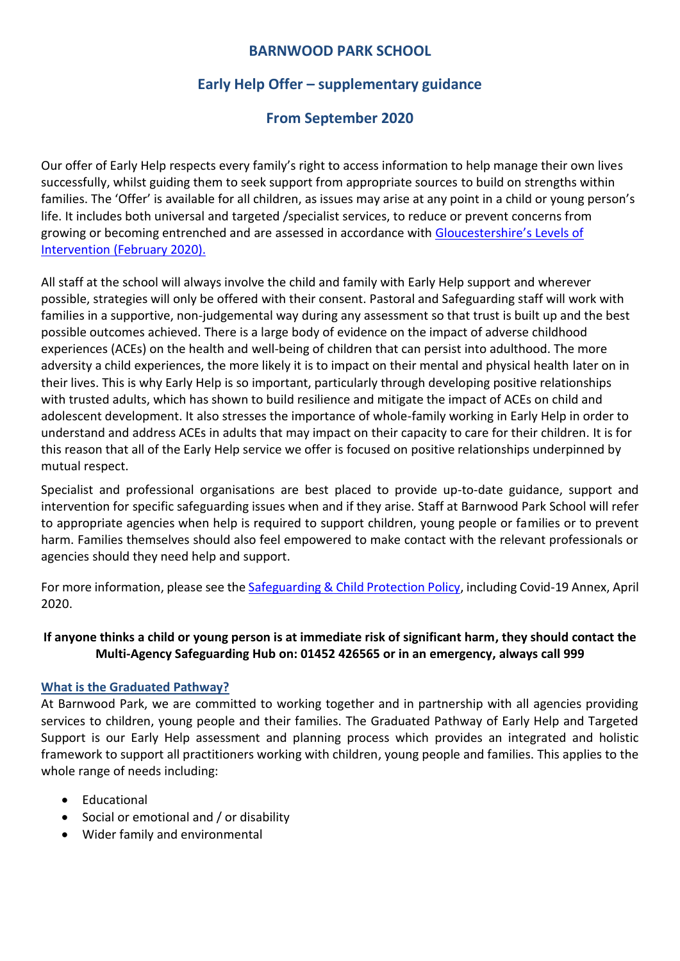### **Early Help Offer – supplementary guidance**

### **From September 2020**

Our offer of Early Help respects every family's right to access information to help manage their own lives successfully, whilst guiding them to seek support from appropriate sources to build on strengths within families. The 'Offer' is available for all children, as issues may arise at any point in a child or young person's life. It includes both universal and targeted /specialist services, to reduce or prevent concerns from growing or becoming entrenched and are assessed in accordance with [Gloucestershire](https://www.gscb.org.uk/media/2097927/gloucestershire-revised-loi-guidance-v6-feb-2020.pdf)'s Levels of Intervention [\(February 2020\).](https://www.gscb.org.uk/media/2097927/gloucestershire-revised-loi-guidance-v6-feb-2020.pdf)

All staff at the school will always involve the child and family with Early Help support and wherever possible, strategies will only be offered with their consent. Pastoral and Safeguarding staff will work with families in a supportive, non-judgemental way during any assessment so that trust is built up and the best possible outcomes achieved. There is a large body of evidence on the impact of adverse childhood experiences (ACEs) on the health and well-being of children that can persist into adulthood. The more adversity a child experiences, the more likely it is to impact on their mental and physical health later on in their lives. This is why Early Help is so important, particularly through developing positive relationships with trusted adults, which has shown to build resilience and mitigate the impact of ACEs on child and adolescent development. It also stresses the importance of whole-family working in Early Help in order to understand and address ACEs in adults that may impact on their capacity to care for their children. It is for this reason that all of the Early Help service we offer is focused on positive relationships underpinned by mutual respect.

Specialist and professional organisations are best placed to provide up-to-date guidance, support and intervention for specific safeguarding issues when and if they arise. Staff at Barnwood Park School will refer to appropriate agencies when help is required to support children, young people or families or to prevent harm. Families themselves should also feel empowered to make contact with the relevant professionals or agencies should they need help and support.

For more information, please see the [Safeguarding & Child Protection Policy,](https://www.barnwood-park.gloucs.sch.uk/policies/policies/) including Covid-19 Annex, April 2020.

#### **If anyone thinks a child or young person is at immediate risk of significant harm, they should contact the Multi-Agency Safeguarding Hub on: 01452 426565 or in an emergency, always call 999**

#### **What is the Graduated Pathway?**

At Barnwood Park, we are committed to working together and in partnership with all agencies providing services to children, young people and their families. The Graduated Pathway of Early Help and Targeted Support is our Early Help assessment and planning process which provides an integrated and holistic framework to support all practitioners working with children, young people and families. This applies to the whole range of needs including:

- Educational
- Social or emotional and / or disability
- Wider family and environmental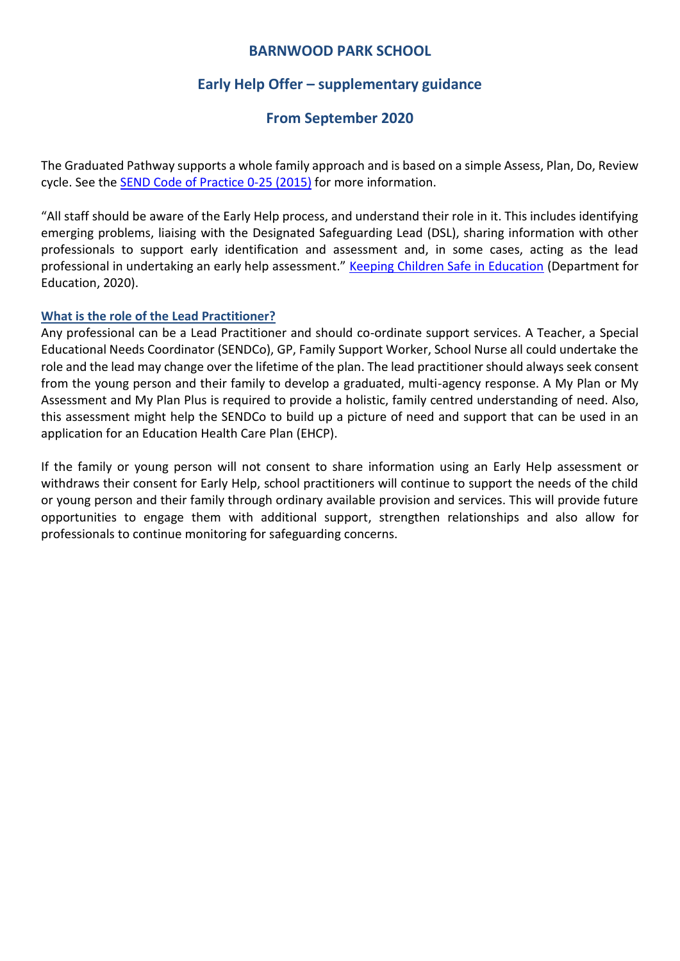### **Early Help Offer – supplementary guidance**

#### **From September 2020**

The Graduated Pathway supports a whole family approach and is based on a simple Assess, Plan, Do, Review cycle. See the [SEND Code of Practice 0-25 \(2015\)](https://assets.publishing.service.gov.uk/government/uploads/system/uploads/attachment_data/file/398815/SEND_Code_of_Practice_January_2015.pdf) for more information.

"All staff should be aware of the Early Help process, and understand their role in it. This includes identifying emerging problems, liaising with the Designated Safeguarding Lead (DSL), sharing information with other professionals to support early identification and assessment and, in some cases, acting as the lead professional in undertaking an early help assessment." [Keeping Children Safe in Education](https://assets.publishing.service.gov.uk/government/uploads/system/uploads/attachment_data/file/953380/Keeping_children_safe_in_education_2020_-_Update_-_January_2021.pdf) (Department for Education, 2020).

#### **What is the role of the Lead Practitioner?**

Any professional can be a Lead Practitioner and should co-ordinate support services. A Teacher, a Special Educational Needs Coordinator (SENDCo), GP, Family Support Worker, School Nurse all could undertake the role and the lead may change over the lifetime of the plan. The lead practitioner should always seek consent from the young person and their family to develop a graduated, multi-agency response. A My Plan or My Assessment and My Plan Plus is required to provide a holistic, family centred understanding of need. Also, this assessment might help the SENDCo to build up a picture of need and support that can be used in an application for an Education Health Care Plan (EHCP).

If the family or young person will not consent to share information using an Early Help assessment or withdraws their consent for Early Help, school practitioners will continue to support the needs of the child or young person and their family through ordinary available provision and services. This will provide future opportunities to engage them with additional support, strengthen relationships and also allow for professionals to continue monitoring for safeguarding concerns.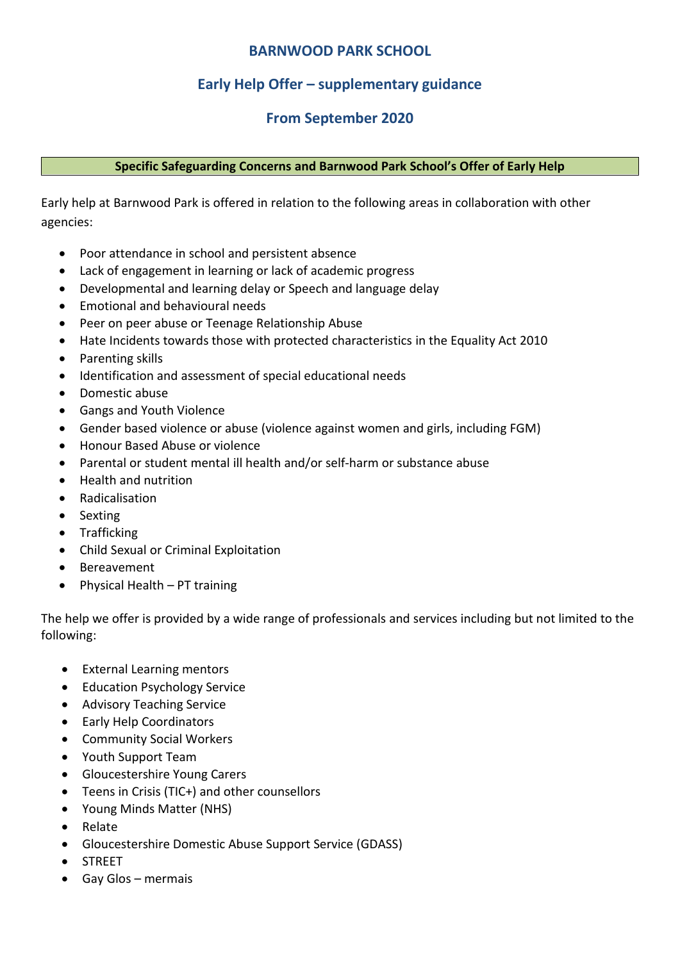### **Early Help Offer – supplementary guidance**

### **From September 2020**

#### **Specific Safeguarding Concerns and Barnwood Park School's Offer of Early Help**

Early help at Barnwood Park is offered in relation to the following areas in collaboration with other agencies:

- Poor attendance in school and persistent absence
- Lack of engagement in learning or lack of academic progress
- Developmental and learning delay or Speech and language delay
- Emotional and behavioural needs
- Peer on peer abuse or Teenage Relationship Abuse
- Hate Incidents towards those with protected characteristics in the Equality Act 2010
- Parenting skills
- Identification and assessment of special educational needs
- Domestic abuse
- Gangs and Youth Violence
- Gender based violence or abuse (violence against women and girls, including FGM)
- Honour Based Abuse or violence
- Parental or student mental ill health and/or self-harm or substance abuse
- Health and nutrition
- Radicalisation
- Sexting
- Trafficking
- Child Sexual or Criminal Exploitation
- Bereavement
- $\bullet$  Physical Health PT training

The help we offer is provided by a wide range of professionals and services including but not limited to the following:

- External Learning mentors
- Education Psychology Service
- Advisory Teaching Service
- Early Help Coordinators
- Community Social Workers
- Youth Support Team
- Gloucestershire Young Carers
- Teens in Crisis (TIC+) and other counsellors
- Young Minds Matter (NHS)
- Relate
- Gloucestershire Domestic Abuse Support Service (GDASS)
- STREET
- Gay Glos mermais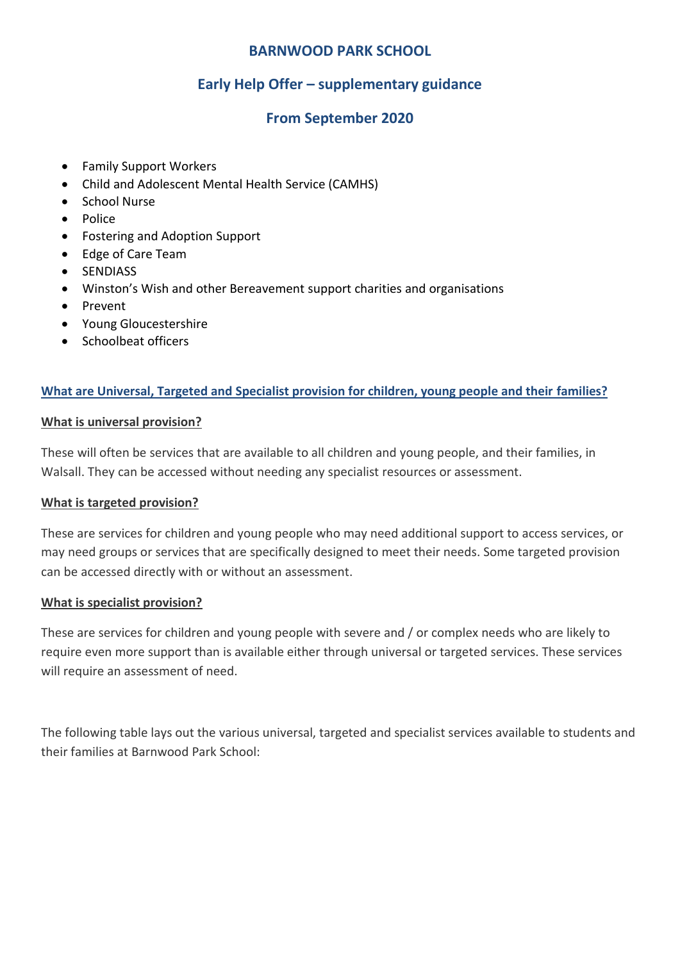### **Early Help Offer – supplementary guidance**

### **From September 2020**

- Family Support Workers
- Child and Adolescent Mental Health Service (CAMHS)
- School Nurse
- Police
- Fostering and Adoption Support
- Edge of Care Team
- **•** SENDIASS
- Winston's Wish and other Bereavement support charities and organisations
- Prevent
- Young Gloucestershire
- Schoolbeat officers

#### **What are Universal, Targeted and Specialist provision for children, young people and their families?**

#### **What is universal provision?**

These will often be services that are available to all children and young people, and their families, in Walsall. They can be accessed without needing any specialist resources or assessment.

#### **What is targeted provision?**

These are services for children and young people who may need additional support to access services, or may need groups or services that are specifically designed to meet their needs. Some targeted provision can be accessed directly with or without an assessment.

#### **What is specialist provision?**

These are services for children and young people with severe and / or complex needs who are likely to require even more support than is available either through universal or targeted services. These services will require an assessment of need.

The following table lays out the various universal, targeted and specialist services available to students and their families at Barnwood Park School: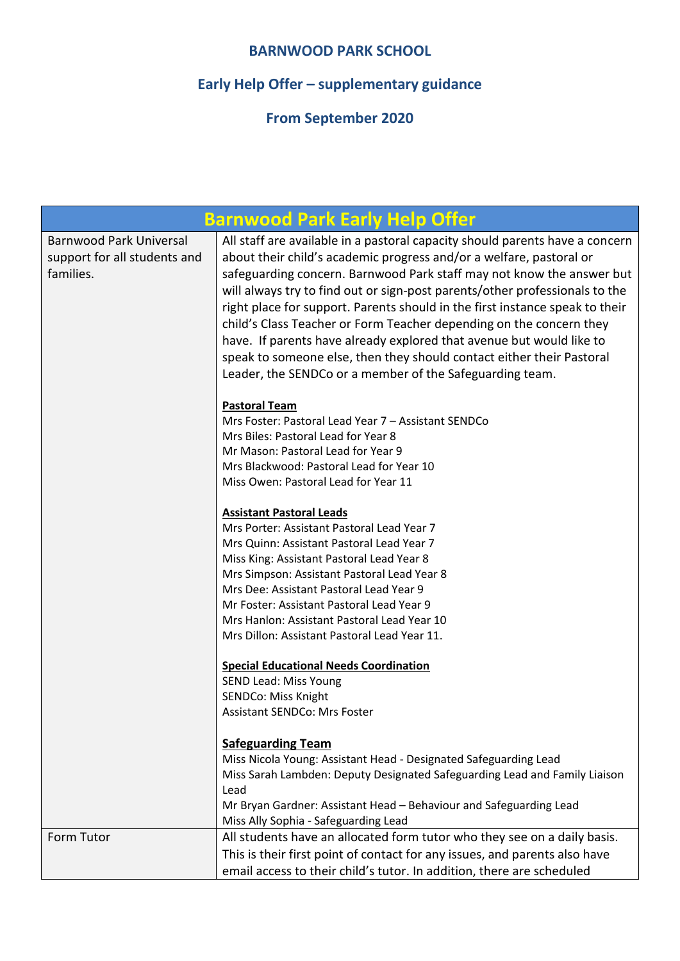# **Early Help Offer – supplementary guidance**

| <b>Barnwood Park Early Help Offer</b>                                       |                                                                                                                                                                                                                                                                                                                                                                                                                                                                                                                                                                                                                                                                                 |
|-----------------------------------------------------------------------------|---------------------------------------------------------------------------------------------------------------------------------------------------------------------------------------------------------------------------------------------------------------------------------------------------------------------------------------------------------------------------------------------------------------------------------------------------------------------------------------------------------------------------------------------------------------------------------------------------------------------------------------------------------------------------------|
| <b>Barnwood Park Universal</b><br>support for all students and<br>families. | All staff are available in a pastoral capacity should parents have a concern<br>about their child's academic progress and/or a welfare, pastoral or<br>safeguarding concern. Barnwood Park staff may not know the answer but<br>will always try to find out or sign-post parents/other professionals to the<br>right place for support. Parents should in the first instance speak to their<br>child's Class Teacher or Form Teacher depending on the concern they<br>have. If parents have already explored that avenue but would like to<br>speak to someone else, then they should contact either their Pastoral<br>Leader, the SENDCo or a member of the Safeguarding team. |
|                                                                             | <b>Pastoral Team</b><br>Mrs Foster: Pastoral Lead Year 7 - Assistant SENDCo<br>Mrs Biles: Pastoral Lead for Year 8<br>Mr Mason: Pastoral Lead for Year 9<br>Mrs Blackwood: Pastoral Lead for Year 10<br>Miss Owen: Pastoral Lead for Year 11                                                                                                                                                                                                                                                                                                                                                                                                                                    |
|                                                                             | <b>Assistant Pastoral Leads</b><br>Mrs Porter: Assistant Pastoral Lead Year 7<br>Mrs Quinn: Assistant Pastoral Lead Year 7<br>Miss King: Assistant Pastoral Lead Year 8<br>Mrs Simpson: Assistant Pastoral Lead Year 8<br>Mrs Dee: Assistant Pastoral Lead Year 9<br>Mr Foster: Assistant Pastoral Lead Year 9<br>Mrs Hanlon: Assistant Pastoral Lead Year 10<br>Mrs Dillon: Assistant Pastoral Lead Year 11.                                                                                                                                                                                                                                                                   |
|                                                                             | <b>Special Educational Needs Coordination</b><br>SEND Lead: Miss Young<br>SENDCo: Miss Knight<br>Assistant SENDCo: Mrs Foster                                                                                                                                                                                                                                                                                                                                                                                                                                                                                                                                                   |
|                                                                             | <b>Safeguarding Team</b><br>Miss Nicola Young: Assistant Head - Designated Safeguarding Lead<br>Miss Sarah Lambden: Deputy Designated Safeguarding Lead and Family Liaison<br>Lead<br>Mr Bryan Gardner: Assistant Head - Behaviour and Safeguarding Lead<br>Miss Ally Sophia - Safeguarding Lead                                                                                                                                                                                                                                                                                                                                                                                |
| Form Tutor                                                                  | All students have an allocated form tutor who they see on a daily basis.<br>This is their first point of contact for any issues, and parents also have<br>email access to their child's tutor. In addition, there are scheduled                                                                                                                                                                                                                                                                                                                                                                                                                                                 |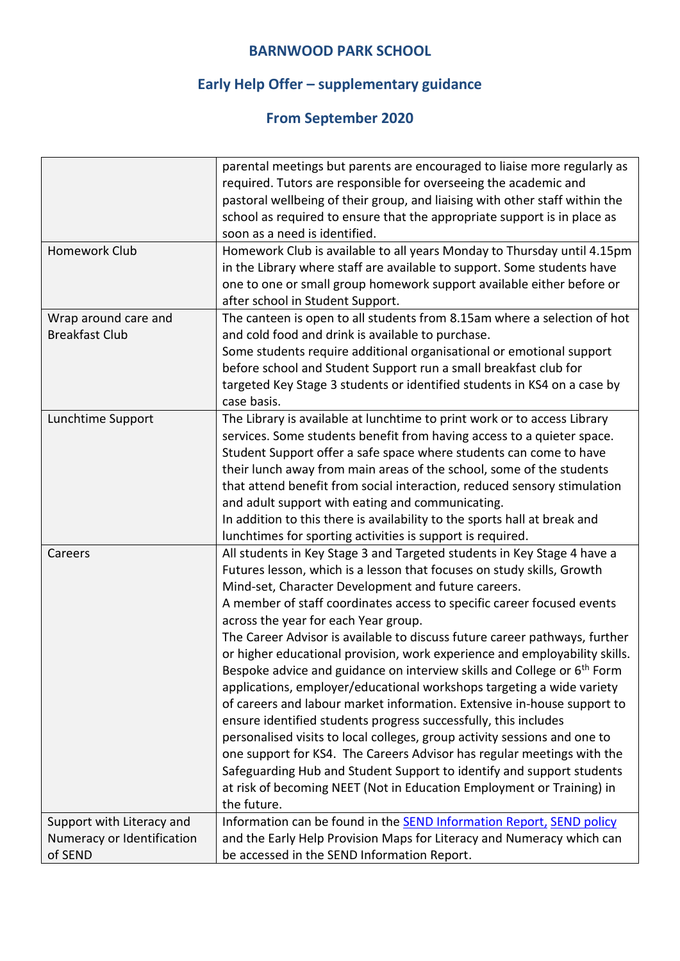# **Early Help Offer – supplementary guidance**

|                            | parental meetings but parents are encouraged to liaise more regularly as            |
|----------------------------|-------------------------------------------------------------------------------------|
|                            | required. Tutors are responsible for overseeing the academic and                    |
|                            | pastoral wellbeing of their group, and liaising with other staff within the         |
|                            | school as required to ensure that the appropriate support is in place as            |
|                            | soon as a need is identified.                                                       |
| Homework Club              | Homework Club is available to all years Monday to Thursday until 4.15pm             |
|                            | in the Library where staff are available to support. Some students have             |
|                            | one to one or small group homework support available either before or               |
|                            | after school in Student Support.                                                    |
| Wrap around care and       | The canteen is open to all students from 8.15am where a selection of hot            |
| <b>Breakfast Club</b>      |                                                                                     |
|                            | and cold food and drink is available to purchase.                                   |
|                            | Some students require additional organisational or emotional support                |
|                            | before school and Student Support run a small breakfast club for                    |
|                            | targeted Key Stage 3 students or identified students in KS4 on a case by            |
|                            | case basis.                                                                         |
| Lunchtime Support          | The Library is available at lunchtime to print work or to access Library            |
|                            | services. Some students benefit from having access to a quieter space.              |
|                            | Student Support offer a safe space where students can come to have                  |
|                            | their lunch away from main areas of the school, some of the students                |
|                            | that attend benefit from social interaction, reduced sensory stimulation            |
|                            | and adult support with eating and communicating.                                    |
|                            | In addition to this there is availability to the sports hall at break and           |
|                            | lunchtimes for sporting activities is support is required.                          |
| Careers                    | All students in Key Stage 3 and Targeted students in Key Stage 4 have a             |
|                            | Futures lesson, which is a lesson that focuses on study skills, Growth              |
|                            | Mind-set, Character Development and future careers.                                 |
|                            | A member of staff coordinates access to specific career focused events              |
|                            | across the year for each Year group.                                                |
|                            | The Career Advisor is available to discuss future career pathways, further          |
|                            | or higher educational provision, work experience and employability skills.          |
|                            | Bespoke advice and guidance on interview skills and College or 6 <sup>th</sup> Form |
|                            | applications, employer/educational workshops targeting a wide variety               |
|                            | of careers and labour market information. Extensive in-house support to             |
|                            | ensure identified students progress successfully, this includes                     |
|                            | personalised visits to local colleges, group activity sessions and one to           |
|                            | one support for KS4. The Careers Advisor has regular meetings with the              |
|                            | Safeguarding Hub and Student Support to identify and support students               |
|                            | at risk of becoming NEET (Not in Education Employment or Training) in               |
|                            | the future.                                                                         |
|                            |                                                                                     |
| Support with Literacy and  | Information can be found in the SEND Information Report, SEND policy                |
| Numeracy or Identification | and the Early Help Provision Maps for Literacy and Numeracy which can               |
| of SEND                    | be accessed in the SEND Information Report.                                         |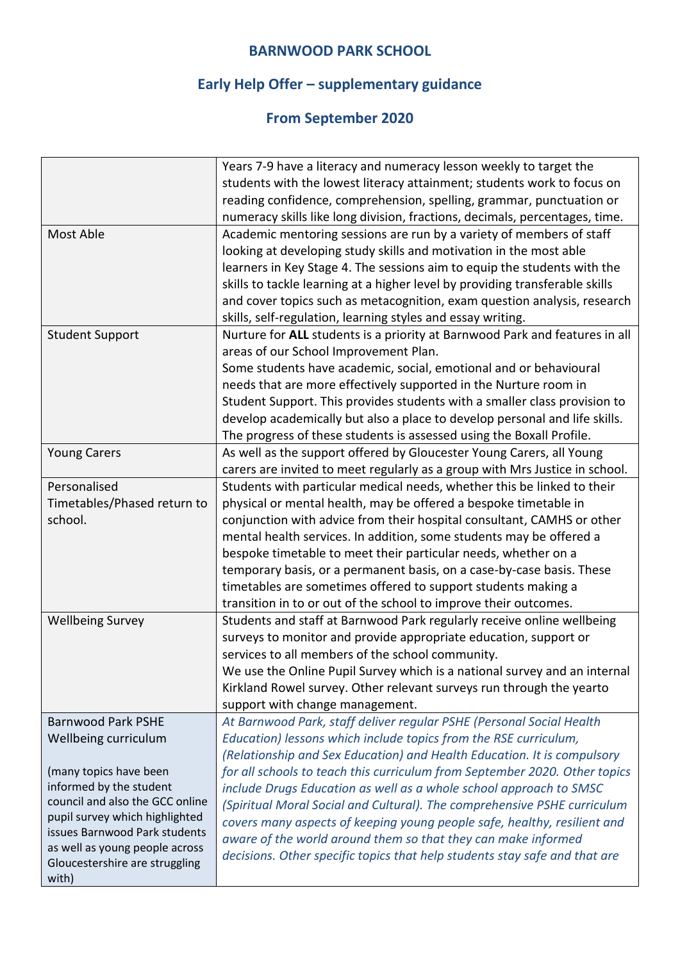# **Early Help Offer – supplementary guidance**

|                                 | Years 7-9 have a literacy and numeracy lesson weekly to target the           |
|---------------------------------|------------------------------------------------------------------------------|
|                                 | students with the lowest literacy attainment; students work to focus on      |
|                                 | reading confidence, comprehension, spelling, grammar, punctuation or         |
|                                 | numeracy skills like long division, fractions, decimals, percentages, time.  |
| Most Able                       | Academic mentoring sessions are run by a variety of members of staff         |
|                                 | looking at developing study skills and motivation in the most able           |
|                                 | learners in Key Stage 4. The sessions aim to equip the students with the     |
|                                 | skills to tackle learning at a higher level by providing transferable skills |
|                                 | and cover topics such as metacognition, exam question analysis, research     |
|                                 | skills, self-regulation, learning styles and essay writing.                  |
| <b>Student Support</b>          | Nurture for ALL students is a priority at Barnwood Park and features in all  |
|                                 | areas of our School Improvement Plan.                                        |
|                                 | Some students have academic, social, emotional and or behavioural            |
|                                 | needs that are more effectively supported in the Nurture room in             |
|                                 | Student Support. This provides students with a smaller class provision to    |
|                                 | develop academically but also a place to develop personal and life skills.   |
|                                 | The progress of these students is assessed using the Boxall Profile.         |
| <b>Young Carers</b>             | As well as the support offered by Gloucester Young Carers, all Young         |
|                                 | carers are invited to meet regularly as a group with Mrs Justice in school.  |
| Personalised                    | Students with particular medical needs, whether this be linked to their      |
| Timetables/Phased return to     | physical or mental health, may be offered a bespoke timetable in             |
| school.                         | conjunction with advice from their hospital consultant, CAMHS or other       |
|                                 | mental health services. In addition, some students may be offered a          |
|                                 | bespoke timetable to meet their particular needs, whether on a               |
|                                 | temporary basis, or a permanent basis, on a case-by-case basis. These        |
|                                 | timetables are sometimes offered to support students making a                |
|                                 | transition in to or out of the school to improve their outcomes.             |
| <b>Wellbeing Survey</b>         | Students and staff at Barnwood Park regularly receive online wellbeing       |
|                                 | surveys to monitor and provide appropriate education, support or             |
|                                 | services to all members of the school community.                             |
|                                 | We use the Online Pupil Survey which is a national survey and an internal    |
|                                 | Kirkland Rowel survey. Other relevant surveys run through the yearto         |
|                                 | support with change management.                                              |
| <b>Barnwood Park PSHE</b>       | At Barnwood Park, staff deliver regular PSHE (Personal Social Health         |
| Wellbeing curriculum            | Education) lessons which include topics from the RSE curriculum,             |
|                                 | (Relationship and Sex Education) and Health Education. It is compulsory      |
| (many topics have been          | for all schools to teach this curriculum from September 2020. Other topics   |
| informed by the student         | include Drugs Education as well as a whole school approach to SMSC           |
| council and also the GCC online | (Spiritual Moral Social and Cultural). The comprehensive PSHE curriculum     |
| pupil survey which highlighted  | covers many aspects of keeping young people safe, healthy, resilient and     |
| issues Barnwood Park students   | aware of the world around them so that they can make informed                |
| as well as young people across  |                                                                              |
| Gloucestershire are struggling  | decisions. Other specific topics that help students stay safe and that are   |
| with)                           |                                                                              |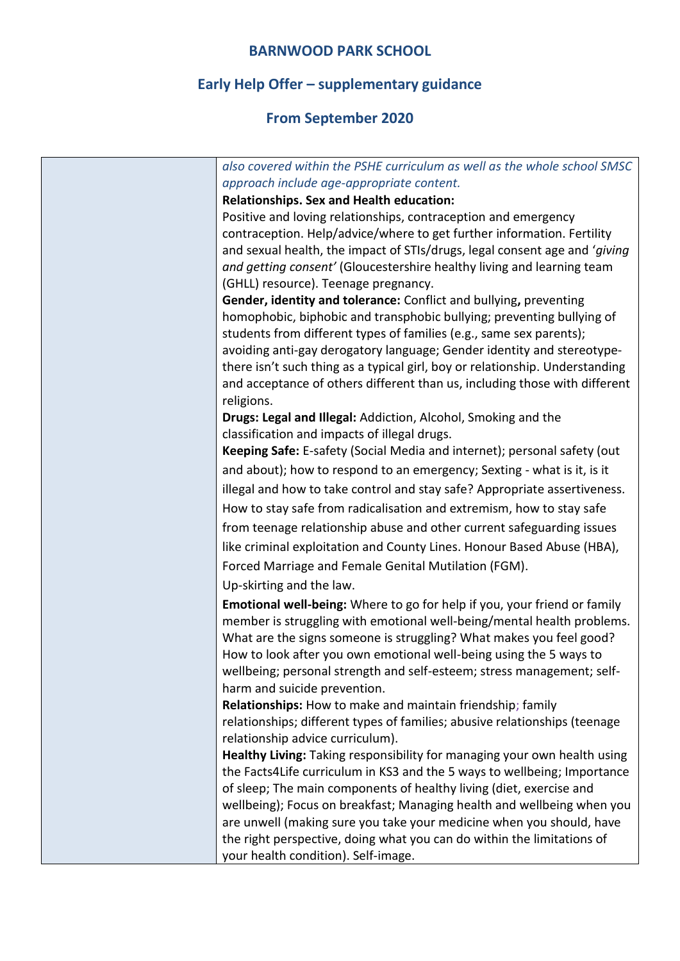# **Early Help Offer – supplementary guidance**

| also covered within the PSHE curriculum as well as the whole school SMSC     |
|------------------------------------------------------------------------------|
| approach include age-appropriate content.                                    |
| <b>Relationships. Sex and Health education:</b>                              |
| Positive and loving relationships, contraception and emergency               |
| contraception. Help/advice/where to get further information. Fertility       |
| and sexual health, the impact of STIs/drugs, legal consent age and 'giving   |
| and getting consent' (Gloucestershire healthy living and learning team       |
| (GHLL) resource). Teenage pregnancy.                                         |
| Gender, identity and tolerance: Conflict and bullying, preventing            |
| homophobic, biphobic and transphobic bullying; preventing bullying of        |
| students from different types of families (e.g., same sex parents);          |
| avoiding anti-gay derogatory language; Gender identity and stereotype-       |
| there isn't such thing as a typical girl, boy or relationship. Understanding |
| and acceptance of others different than us, including those with different   |
| religions.                                                                   |
| Drugs: Legal and Illegal: Addiction, Alcohol, Smoking and the                |
| classification and impacts of illegal drugs.                                 |
| Keeping Safe: E-safety (Social Media and internet); personal safety (out     |
| and about); how to respond to an emergency; Sexting - what is it, is it      |
| illegal and how to take control and stay safe? Appropriate assertiveness.    |
| How to stay safe from radicalisation and extremism, how to stay safe         |
| from teenage relationship abuse and other current safeguarding issues        |
| like criminal exploitation and County Lines. Honour Based Abuse (HBA),       |
| Forced Marriage and Female Genital Mutilation (FGM).                         |
| Up-skirting and the law.                                                     |
| Emotional well-being: Where to go for help if you, your friend or family     |
| member is struggling with emotional well-being/mental health problems.       |
| What are the signs someone is struggling? What makes you feel good?          |
| How to look after you own emotional well-being using the 5 ways to           |
| wellbeing; personal strength and self-esteem; stress management; self-       |
| harm and suicide prevention.                                                 |
| Relationships: How to make and maintain friendship; family                   |
| relationships; different types of families; abusive relationships (teenage   |
| relationship advice curriculum).                                             |
| Healthy Living: Taking responsibility for managing your own health using     |
| the Facts4Life curriculum in KS3 and the 5 ways to wellbeing; Importance     |
| of sleep; The main components of healthy living (diet, exercise and          |
| wellbeing); Focus on breakfast; Managing health and wellbeing when you       |
| are unwell (making sure you take your medicine when you should, have         |
| the right perspective, doing what you can do within the limitations of       |
| your health condition). Self-image.                                          |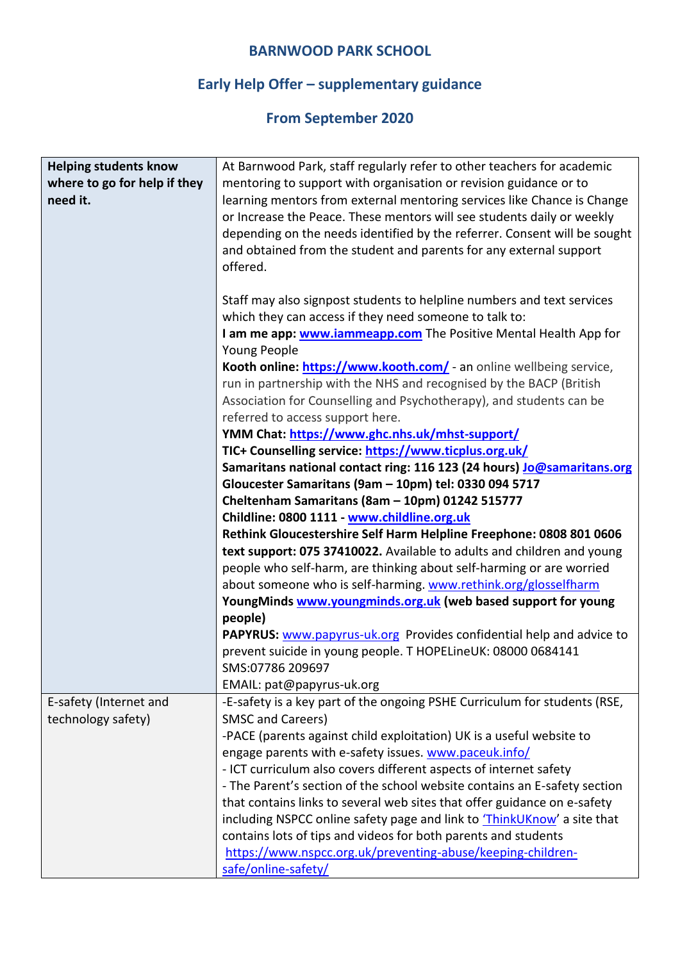# **Early Help Offer – supplementary guidance**

| <b>Helping students know</b> | At Barnwood Park, staff regularly refer to other teachers for academic                           |
|------------------------------|--------------------------------------------------------------------------------------------------|
| where to go for help if they | mentoring to support with organisation or revision guidance or to                                |
| need it.                     | learning mentors from external mentoring services like Chance is Change                          |
|                              | or Increase the Peace. These mentors will see students daily or weekly                           |
|                              | depending on the needs identified by the referrer. Consent will be sought                        |
|                              | and obtained from the student and parents for any external support                               |
|                              | offered.                                                                                         |
|                              | Staff may also signpost students to helpline numbers and text services                           |
|                              | which they can access if they need someone to talk to:                                           |
|                              | I am me app: <b>www.iammeapp.com</b> The Positive Mental Health App for                          |
|                              | Young People                                                                                     |
|                              | Kooth online: https://www.kooth.com/ - an online wellbeing service,                              |
|                              | run in partnership with the NHS and recognised by the BACP (British                              |
|                              | Association for Counselling and Psychotherapy), and students can be                              |
|                              | referred to access support here.                                                                 |
|                              | YMM Chat: https://www.ghc.nhs.uk/mhst-support/                                                   |
|                              | TIC+ Counselling service: https://www.ticplus.org.uk/                                            |
|                              | Samaritans national contact ring: 116 123 (24 hours) Jo@samaritans.org                           |
|                              | Gloucester Samaritans (9am - 10pm) tel: 0330 094 5717                                            |
|                              | Cheltenham Samaritans (8am - 10pm) 01242 515777                                                  |
|                              | Childline: 0800 1111 - www.childline.org.uk                                                      |
|                              | Rethink Gloucestershire Self Harm Helpline Freephone: 0808 801 0606                              |
|                              | text support: 075 37410022. Available to adults and children and young                           |
|                              | people who self-harm, are thinking about self-harming or are worried                             |
|                              | about someone who is self-harming. www.rethink.org/glosselfharm                                  |
|                              | YoungMinds www.youngminds.org.uk (web based support for young                                    |
|                              | people)                                                                                          |
|                              | PAPYRUS: www.papyrus-uk.org Provides confidential help and advice to                             |
|                              | prevent suicide in young people. T HOPELineUK: 08000 0684141                                     |
|                              | SMS:07786 209697                                                                                 |
|                              | EMAIL: pat@papyrus-uk.org                                                                        |
| E-safety (Internet and       | -E-safety is a key part of the ongoing PSHE Curriculum for students (RSE,                        |
| technology safety)           | <b>SMSC and Careers)</b><br>-PACE (parents against child exploitation) UK is a useful website to |
|                              | engage parents with e-safety issues. www.paceuk.info/                                            |
|                              | - ICT curriculum also covers different aspects of internet safety                                |
|                              | - The Parent's section of the school website contains an E-safety section                        |
|                              | that contains links to several web sites that offer guidance on e-safety                         |
|                              | including NSPCC online safety page and link to <i>ThinkUKnow</i> ' a site that                   |
|                              | contains lots of tips and videos for both parents and students                                   |
|                              | https://www.nspcc.org.uk/preventing-abuse/keeping-children-                                      |
|                              | safe/online-safety/                                                                              |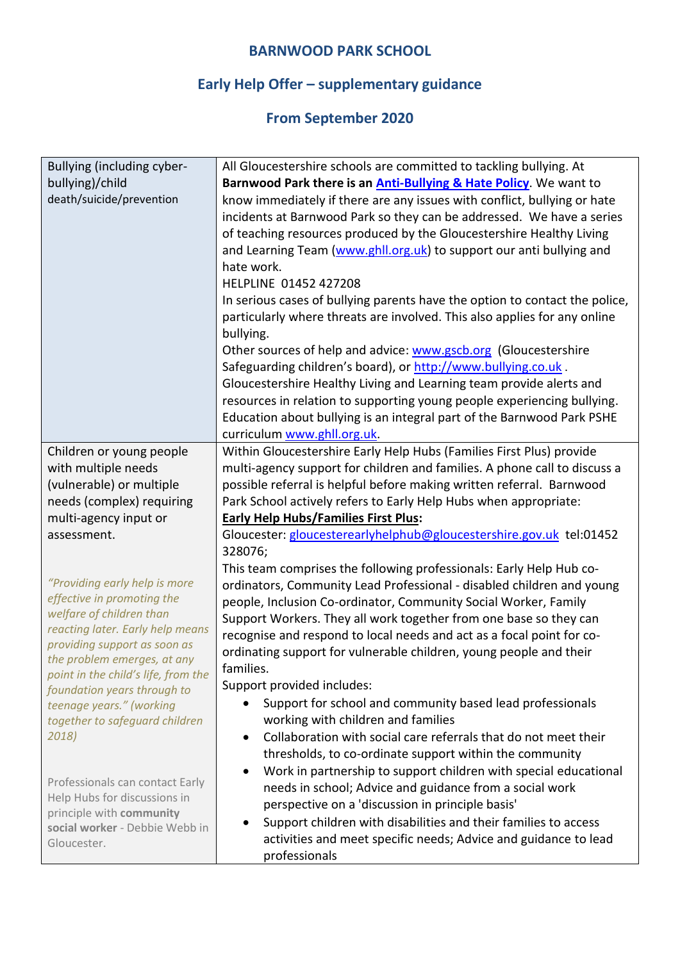# **Early Help Offer – supplementary guidance**

| Bullying (including cyber-                                                                                                                                                                                                        | All Gloucestershire schools are committed to tackling bullying. At                                                                                                                                                                                                                                                                                                                                                                                                                                                                                                                                                                                                                                                                                                                                                                                                                |
|-----------------------------------------------------------------------------------------------------------------------------------------------------------------------------------------------------------------------------------|-----------------------------------------------------------------------------------------------------------------------------------------------------------------------------------------------------------------------------------------------------------------------------------------------------------------------------------------------------------------------------------------------------------------------------------------------------------------------------------------------------------------------------------------------------------------------------------------------------------------------------------------------------------------------------------------------------------------------------------------------------------------------------------------------------------------------------------------------------------------------------------|
| bullying)/child                                                                                                                                                                                                                   | Barnwood Park there is an <b>Anti-Bullying &amp; Hate Policy</b> . We want to                                                                                                                                                                                                                                                                                                                                                                                                                                                                                                                                                                                                                                                                                                                                                                                                     |
| death/suicide/prevention                                                                                                                                                                                                          | know immediately if there are any issues with conflict, bullying or hate<br>incidents at Barnwood Park so they can be addressed. We have a series<br>of teaching resources produced by the Gloucestershire Healthy Living<br>and Learning Team (www.ghll.org.uk) to support our anti bullying and<br>hate work.<br>HELPLINE 01452 427208<br>In serious cases of bullying parents have the option to contact the police,<br>particularly where threats are involved. This also applies for any online<br>bullying.<br>Other sources of help and advice: www.gscb.org (Gloucestershire<br>Safeguarding children's board), or http://www.bullying.co.uk.<br>Gloucestershire Healthy Living and Learning team provide alerts and<br>resources in relation to supporting young people experiencing bullying.<br>Education about bullying is an integral part of the Barnwood Park PSHE |
|                                                                                                                                                                                                                                   | curriculum www.ghll.org.uk.                                                                                                                                                                                                                                                                                                                                                                                                                                                                                                                                                                                                                                                                                                                                                                                                                                                       |
| Children or young people<br>with multiple needs<br>(vulnerable) or multiple<br>needs (complex) requiring                                                                                                                          | Within Gloucestershire Early Help Hubs (Families First Plus) provide<br>multi-agency support for children and families. A phone call to discuss a<br>possible referral is helpful before making written referral. Barnwood<br>Park School actively refers to Early Help Hubs when appropriate:                                                                                                                                                                                                                                                                                                                                                                                                                                                                                                                                                                                    |
| multi-agency input or                                                                                                                                                                                                             | <b>Early Help Hubs/Families First Plus:</b>                                                                                                                                                                                                                                                                                                                                                                                                                                                                                                                                                                                                                                                                                                                                                                                                                                       |
| assessment.                                                                                                                                                                                                                       | Gloucester: gloucesterearlyhelphub@gloucestershire.gov.uk tel:01452<br>328076;                                                                                                                                                                                                                                                                                                                                                                                                                                                                                                                                                                                                                                                                                                                                                                                                    |
| "Providing early help is more<br>effective in promoting the<br>welfare of children than<br>reacting later. Early help means<br>providing support as soon as<br>the problem emerges, at any<br>point in the child's life, from the | This team comprises the following professionals: Early Help Hub co-<br>ordinators, Community Lead Professional - disabled children and young<br>people, Inclusion Co-ordinator, Community Social Worker, Family<br>Support Workers. They all work together from one base so they can<br>recognise and respond to local needs and act as a focal point for co-<br>ordinating support for vulnerable children, young people and their<br>families.                                                                                                                                                                                                                                                                                                                                                                                                                                  |
| foundation years through to                                                                                                                                                                                                       | Support provided includes:                                                                                                                                                                                                                                                                                                                                                                                                                                                                                                                                                                                                                                                                                                                                                                                                                                                        |
| teenage years." (working<br>together to safeguard children<br>2018)                                                                                                                                                               | Support for school and community based lead professionals<br>working with children and families<br>Collaboration with social care referrals that do not meet their<br>$\bullet$<br>thresholds, to co-ordinate support within the community                                                                                                                                                                                                                                                                                                                                                                                                                                                                                                                                                                                                                                        |
| Professionals can contact Early<br>Help Hubs for discussions in<br>principle with community<br>social worker - Debbie Webb in<br>Gloucester.                                                                                      | Work in partnership to support children with special educational<br>$\bullet$<br>needs in school; Advice and guidance from a social work<br>perspective on a 'discussion in principle basis'<br>Support children with disabilities and their families to access<br>activities and meet specific needs; Advice and guidance to lead<br>professionals                                                                                                                                                                                                                                                                                                                                                                                                                                                                                                                               |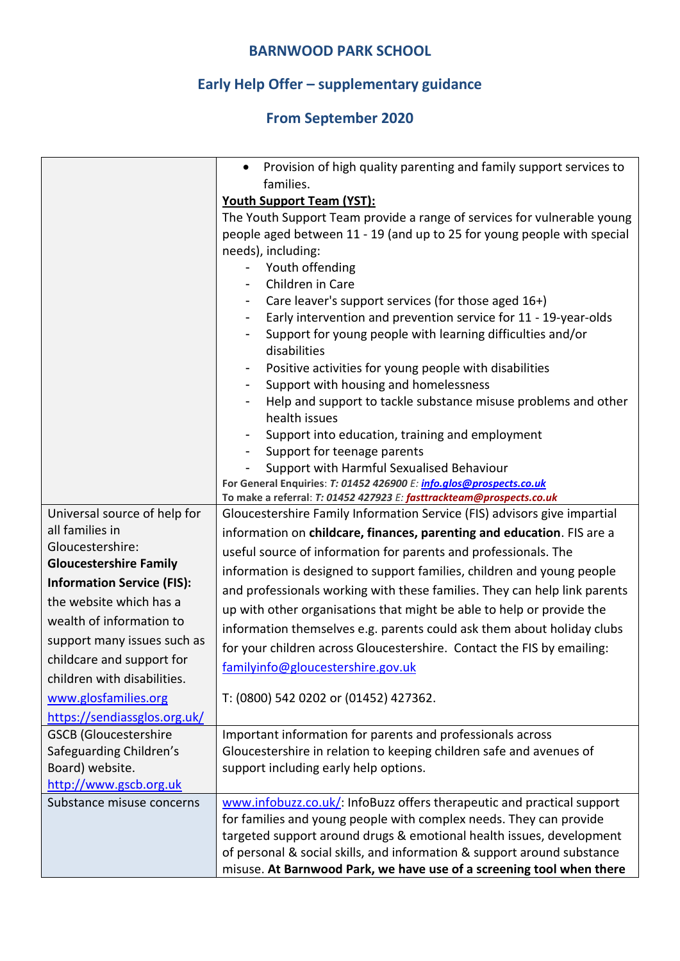# **Early Help Offer – supplementary guidance**

|                                     | Provision of high quality parenting and family support services to<br>$\bullet$ |
|-------------------------------------|---------------------------------------------------------------------------------|
|                                     | families.                                                                       |
|                                     | <b>Youth Support Team (YST):</b>                                                |
|                                     | The Youth Support Team provide a range of services for vulnerable young         |
|                                     | people aged between 11 - 19 (and up to 25 for young people with special         |
|                                     | needs), including:                                                              |
|                                     | Youth offending                                                                 |
|                                     | Children in Care<br>$\blacksquare$                                              |
|                                     | Care leaver's support services (for those aged 16+)                             |
|                                     | Early intervention and prevention service for 11 - 19-year-olds                 |
|                                     | Support for young people with learning difficulties and/or                      |
|                                     | disabilities                                                                    |
|                                     | Positive activities for young people with disabilities<br>۰                     |
|                                     | Support with housing and homelessness                                           |
|                                     | Help and support to tackle substance misuse problems and other                  |
|                                     | health issues                                                                   |
|                                     | Support into education, training and employment                                 |
|                                     | Support for teenage parents                                                     |
|                                     | Support with Harmful Sexualised Behaviour                                       |
|                                     | For General Enquiries: T: 01452 426900 E: info.glos@prospects.co.uk             |
|                                     | To make a referral: T: 01452 427923 E: fasttrackteam@prospects.co.uk            |
| Universal source of help for        | Gloucestershire Family Information Service (FIS) advisors give impartial        |
| all families in<br>Gloucestershire: | information on childcare, finances, parenting and education. FIS are a          |
| <b>Gloucestershire Family</b>       | useful source of information for parents and professionals. The                 |
|                                     | information is designed to support families, children and young people          |
| <b>Information Service (FIS):</b>   | and professionals working with these families. They can help link parents       |
| the website which has a             | up with other organisations that might be able to help or provide the           |
| wealth of information to            | information themselves e.g. parents could ask them about holiday clubs          |
| support many issues such as         | for your children across Gloucestershire. Contact the FIS by emailing:          |
| childcare and support for           | familyinfo@gloucestershire.gov.uk                                               |
| children with disabilities.         |                                                                                 |
| www.glosfamilies.org                | T: (0800) 542 0202 or (01452) 427362.                                           |
| https://sendiassglos.org.uk/        |                                                                                 |
| <b>GSCB (Gloucestershire</b>        | Important information for parents and professionals across                      |
| Safeguarding Children's             | Gloucestershire in relation to keeping children safe and avenues of             |
| Board) website.                     | support including early help options.                                           |
| http://www.gscb.org.uk              |                                                                                 |
| Substance misuse concerns           | www.infobuzz.co.uk/: InfoBuzz offers therapeutic and practical support          |
|                                     | for families and young people with complex needs. They can provide              |
|                                     | targeted support around drugs & emotional health issues, development            |
|                                     | of personal & social skills, and information & support around substance         |
|                                     | misuse. At Barnwood Park, we have use of a screening tool when there            |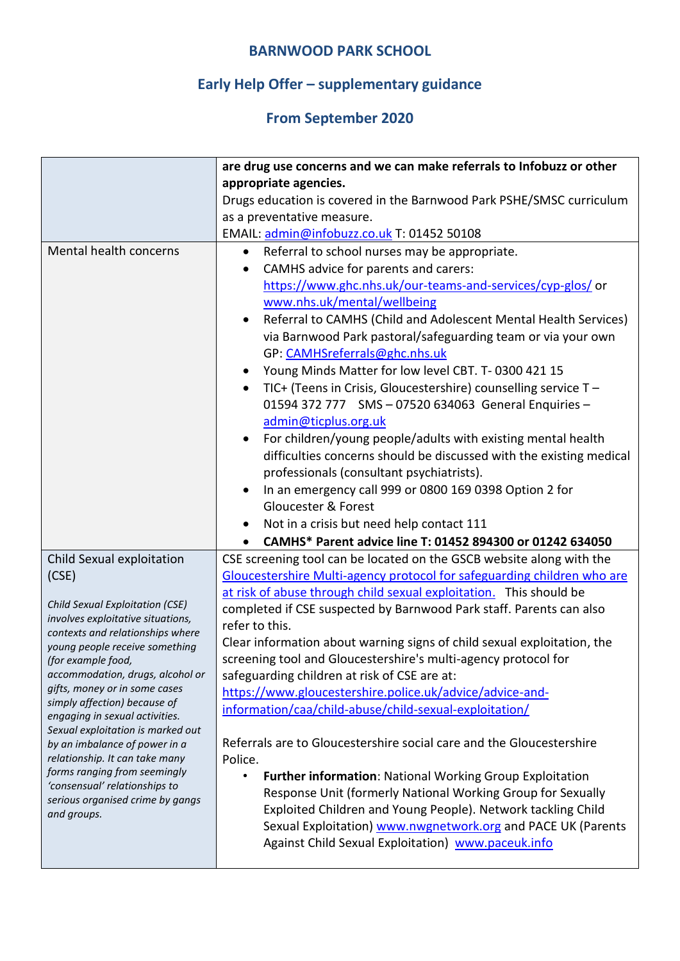# **Early Help Offer – supplementary guidance**

|                                                                | are drug use concerns and we can make referrals to Infobuzz or other         |
|----------------------------------------------------------------|------------------------------------------------------------------------------|
|                                                                | appropriate agencies.                                                        |
|                                                                |                                                                              |
|                                                                | Drugs education is covered in the Barnwood Park PSHE/SMSC curriculum         |
|                                                                | as a preventative measure.                                                   |
|                                                                | EMAIL: admin@infobuzz.co.uk T: 01452 50108                                   |
| Mental health concerns                                         | Referral to school nurses may be appropriate.<br>$\bullet$                   |
|                                                                | CAMHS advice for parents and carers:<br>٠                                    |
|                                                                | https://www.ghc.nhs.uk/our-teams-and-services/cyp-glos/ or                   |
|                                                                | www.nhs.uk/mental/wellbeing                                                  |
|                                                                | Referral to CAMHS (Child and Adolescent Mental Health Services)<br>$\bullet$ |
|                                                                | via Barnwood Park pastoral/safeguarding team or via your own                 |
|                                                                | GP: CAMHSreferrals@ghc.nhs.uk                                                |
|                                                                | Young Minds Matter for low level CBT. T-0300 421 15                          |
|                                                                | TIC+ (Teens in Crisis, Gloucestershire) counselling service T -<br>$\bullet$ |
|                                                                | 01594 372 777 SMS - 07520 634063 General Enquiries -                         |
|                                                                | admin@ticplus.org.uk                                                         |
|                                                                | For children/young people/adults with existing mental health<br>$\bullet$    |
|                                                                | difficulties concerns should be discussed with the existing medical          |
|                                                                | professionals (consultant psychiatrists).                                    |
|                                                                | In an emergency call 999 or 0800 169 0398 Option 2 for<br>$\bullet$          |
|                                                                | <b>Gloucester &amp; Forest</b>                                               |
|                                                                | Not in a crisis but need help contact 111                                    |
|                                                                | CAMHS* Parent advice line T: 01452 894300 or 01242 634050                    |
| Child Sexual exploitation                                      | CSE screening tool can be located on the GSCB website along with the         |
| (CSE)                                                          | Gloucestershire Multi-agency protocol for safeguarding children who are      |
|                                                                | at risk of abuse through child sexual exploitation. This should be           |
| Child Sexual Exploitation (CSE)                                | completed if CSE suspected by Barnwood Park staff. Parents can also          |
| involves exploitative situations,                              | refer to this.                                                               |
| contexts and relationships where                               |                                                                              |
| young people receive something                                 | Clear information about warning signs of child sexual exploitation, the      |
| (for example food,<br>accommodation, drugs, alcohol or         | screening tool and Gloucestershire's multi-agency protocol for               |
| gifts, money or in some cases                                  | safeguarding children at risk of CSE are at:                                 |
| simply affection) because of                                   | https://www.gloucestershire.police.uk/advice/advice-and-                     |
| engaging in sexual activities.                                 | information/caa/child-abuse/child-sexual-exploitation/                       |
| Sexual exploitation is marked out                              |                                                                              |
| by an imbalance of power in a                                  | Referrals are to Gloucestershire social care and the Gloucestershire         |
| relationship. It can take many<br>forms ranging from seemingly | Police.                                                                      |
| 'consensual' relationships to                                  | Further information: National Working Group Exploitation<br>$\bullet$        |
| serious organised crime by gangs                               | Response Unit (formerly National Working Group for Sexually                  |
| and groups.                                                    | Exploited Children and Young People). Network tackling Child                 |
|                                                                | Sexual Exploitation) www.nwgnetwork.org and PACE UK (Parents                 |
|                                                                | Against Child Sexual Exploitation) www.paceuk.info                           |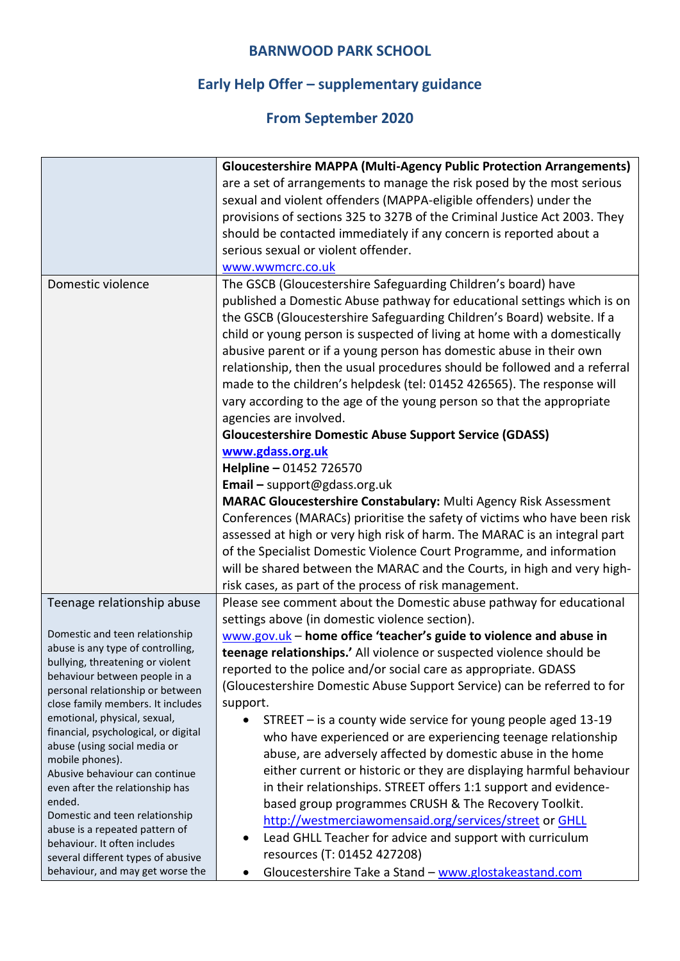# **Early Help Offer – supplementary guidance**

|                                                                   | <b>Gloucestershire MAPPA (Multi-Agency Public Protection Arrangements)</b> |
|-------------------------------------------------------------------|----------------------------------------------------------------------------|
|                                                                   | are a set of arrangements to manage the risk posed by the most serious     |
|                                                                   | sexual and violent offenders (MAPPA-eligible offenders) under the          |
|                                                                   | provisions of sections 325 to 327B of the Criminal Justice Act 2003. They  |
|                                                                   | should be contacted immediately if any concern is reported about a         |
|                                                                   | serious sexual or violent offender.                                        |
|                                                                   | www.wwmcrc.co.uk                                                           |
| Domestic violence                                                 | The GSCB (Gloucestershire Safeguarding Children's board) have              |
|                                                                   | published a Domestic Abuse pathway for educational settings which is on    |
|                                                                   | the GSCB (Gloucestershire Safeguarding Children's Board) website. If a     |
|                                                                   | child or young person is suspected of living at home with a domestically   |
|                                                                   | abusive parent or if a young person has domestic abuse in their own        |
|                                                                   | relationship, then the usual procedures should be followed and a referral  |
|                                                                   | made to the children's helpdesk (tel: 01452 426565). The response will     |
|                                                                   | vary according to the age of the young person so that the appropriate      |
|                                                                   | agencies are involved.                                                     |
|                                                                   | <b>Gloucestershire Domestic Abuse Support Service (GDASS)</b>              |
|                                                                   | www.gdass.org.uk                                                           |
|                                                                   | Helpline - 01452 726570                                                    |
|                                                                   | Email - support@gdass.org.uk                                               |
|                                                                   | MARAC Gloucestershire Constabulary: Multi Agency Risk Assessment           |
|                                                                   | Conferences (MARACs) prioritise the safety of victims who have been risk   |
|                                                                   | assessed at high or very high risk of harm. The MARAC is an integral part  |
|                                                                   | of the Specialist Domestic Violence Court Programme, and information       |
|                                                                   | will be shared between the MARAC and the Courts, in high and very high-    |
|                                                                   | risk cases, as part of the process of risk management.                     |
| Teenage relationship abuse                                        | Please see comment about the Domestic abuse pathway for educational        |
|                                                                   | settings above (in domestic violence section).                             |
| Domestic and teen relationship                                    | www.gov.uk - home office 'teacher's guide to violence and abuse in         |
| abuse is any type of controlling,                                 | teenage relationships.' All violence or suspected violence should be       |
| bullying, threatening or violent<br>behaviour between people in a | reported to the police and/or social care as appropriate. GDASS            |
| personal relationship or between                                  | (Gloucestershire Domestic Abuse Support Service) can be referred to for    |
| close family members. It includes                                 | support.                                                                   |
| emotional, physical, sexual,                                      | STREET $-$ is a county wide service for young people aged 13-19            |
| financial, psychological, or digital                              | who have experienced or are experiencing teenage relationship              |
| abuse (using social media or<br>mobile phones).                   | abuse, are adversely affected by domestic abuse in the home                |
| Abusive behaviour can continue                                    | either current or historic or they are displaying harmful behaviour        |
| even after the relationship has                                   | in their relationships. STREET offers 1:1 support and evidence-            |
| ended.                                                            | based group programmes CRUSH & The Recovery Toolkit.                       |
| Domestic and teen relationship                                    | http://westmerciawomensaid.org/services/street or GHLL                     |
| abuse is a repeated pattern of<br>behaviour. It often includes    | Lead GHLL Teacher for advice and support with curriculum<br>$\bullet$      |
| several different types of abusive                                | resources (T: 01452 427208)                                                |
| behaviour, and may get worse the                                  | Gloucestershire Take a Stand - www.glostakeastand.com<br>$\bullet$         |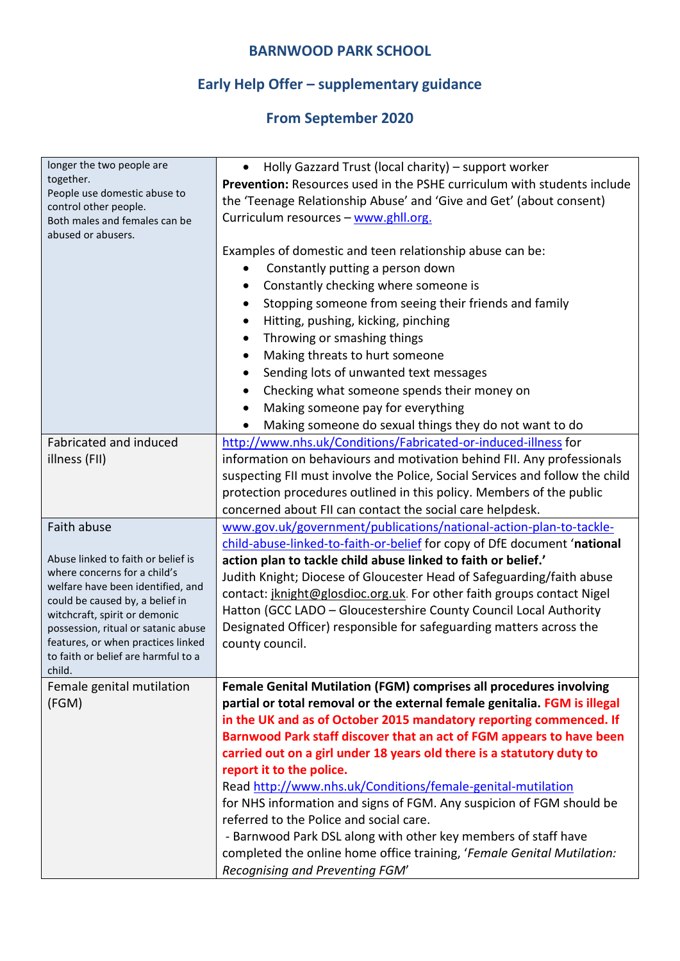# **Early Help Offer – supplementary guidance**

| longer the two people are                                         | Holly Gazzard Trust (local charity) - support worker<br>$\bullet$                                               |
|-------------------------------------------------------------------|-----------------------------------------------------------------------------------------------------------------|
| together.                                                         | <b>Prevention:</b> Resources used in the PSHE curriculum with students include                                  |
| People use domestic abuse to<br>control other people.             | the 'Teenage Relationship Abuse' and 'Give and Get' (about consent)                                             |
| Both males and females can be                                     | Curriculum resources - www.ghll.org.                                                                            |
| abused or abusers.                                                |                                                                                                                 |
|                                                                   | Examples of domestic and teen relationship abuse can be:                                                        |
|                                                                   | Constantly putting a person down<br>$\bullet$                                                                   |
|                                                                   | Constantly checking where someone is                                                                            |
|                                                                   | Stopping someone from seeing their friends and family<br>$\bullet$                                              |
|                                                                   | Hitting, pushing, kicking, pinching<br>$\bullet$                                                                |
|                                                                   | Throwing or smashing things<br>$\bullet$                                                                        |
|                                                                   | Making threats to hurt someone                                                                                  |
|                                                                   | Sending lots of unwanted text messages                                                                          |
|                                                                   |                                                                                                                 |
|                                                                   | Checking what someone spends their money on<br>٠                                                                |
|                                                                   | Making someone pay for everything                                                                               |
|                                                                   | Making someone do sexual things they do not want to do<br>$\bullet$                                             |
| Fabricated and induced                                            | http://www.nhs.uk/Conditions/Fabricated-or-induced-illness for                                                  |
| illness (FII)                                                     | information on behaviours and motivation behind FII. Any professionals                                          |
|                                                                   | suspecting FII must involve the Police, Social Services and follow the child                                    |
|                                                                   | protection procedures outlined in this policy. Members of the public                                            |
|                                                                   | concerned about FII can contact the social care helpdesk.                                                       |
| Faith abuse                                                       | www.gov.uk/government/publications/national-action-plan-to-tackle-                                              |
|                                                                   | child-abuse-linked-to-faith-or-belief for copy of DfE document 'national                                        |
| Abuse linked to faith or belief is                                | action plan to tackle child abuse linked to faith or belief.'                                                   |
| where concerns for a child's<br>welfare have been identified, and | Judith Knight; Diocese of Gloucester Head of Safeguarding/faith abuse                                           |
| could be caused by, a belief in                                   | contact: jknight@glosdioc.org.uk. For other faith groups contact Nigel                                          |
| witchcraft, spirit or demonic                                     | Hatton (GCC LADO - Gloucestershire County Council Local Authority                                               |
| possession, ritual or satanic abuse                               | Designated Officer) responsible for safeguarding matters across the                                             |
| features, or when practices linked                                | county council.                                                                                                 |
| to faith or belief are harmful to a                               |                                                                                                                 |
| child.                                                            | Female Genital Mutilation (FGM) comprises all procedures involving                                              |
| Female genital mutilation<br>(FGM)                                | partial or total removal or the external female genitalia. FGM is illegal                                       |
|                                                                   | in the UK and as of October 2015 mandatory reporting commenced. If                                              |
|                                                                   | Barnwood Park staff discover that an act of FGM appears to have been                                            |
|                                                                   |                                                                                                                 |
|                                                                   | carried out on a girl under 18 years old there is a statutory duty to                                           |
|                                                                   | report it to the police.                                                                                        |
|                                                                   | Read http://www.nhs.uk/Conditions/female-genital-mutilation                                                     |
|                                                                   | for NHS information and signs of FGM. Any suspicion of FGM should be<br>referred to the Police and social care. |
|                                                                   |                                                                                                                 |
|                                                                   | - Barnwood Park DSL along with other key members of staff have                                                  |
|                                                                   | completed the online home office training, 'Female Genital Mutilation:<br>Recognising and Preventing FGM'       |
|                                                                   |                                                                                                                 |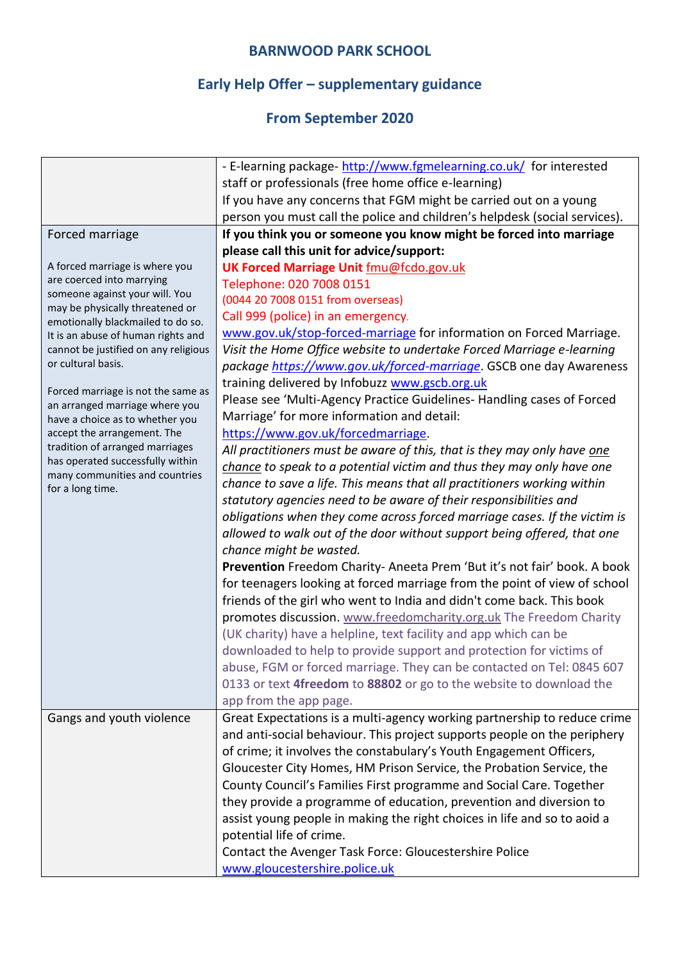# **Early Help Offer – supplementary guidance**

|                                                                         | - E-learning package- http://www.fgmelearning.co.uk/ for interested        |
|-------------------------------------------------------------------------|----------------------------------------------------------------------------|
|                                                                         | staff or professionals (free home office e-learning)                       |
|                                                                         | If you have any concerns that FGM might be carried out on a young          |
|                                                                         | person you must call the police and children's helpdesk (social services). |
| Forced marriage                                                         | If you think you or someone you know might be forced into marriage         |
|                                                                         | please call this unit for advice/support:                                  |
| A forced marriage is where you                                          | <b>UK Forced Marriage Unit fmu@fcdo.gov.uk</b>                             |
| are coerced into marrying                                               | Telephone: 020 7008 0151                                                   |
| someone against your will. You                                          | (0044 20 7008 0151 from overseas)                                          |
| may be physically threatened or                                         | Call 999 (police) in an emergency.                                         |
| emotionally blackmailed to do so.<br>It is an abuse of human rights and | www.gov.uk/stop-forced-marriage for information on Forced Marriage.        |
| cannot be justified on any religious                                    | Visit the Home Office website to undertake Forced Marriage e-learning      |
| or cultural basis.                                                      | package https://www.gov.uk/forced-marriage. GSCB one day Awareness         |
|                                                                         | training delivered by Infobuzz www.gscb.org.uk                             |
| Forced marriage is not the same as                                      | Please see 'Multi-Agency Practice Guidelines- Handling cases of Forced     |
| an arranged marriage where you<br>have a choice as to whether you       | Marriage' for more information and detail:                                 |
| accept the arrangement. The                                             | https://www.gov.uk/forcedmarriage.                                         |
| tradition of arranged marriages                                         | All practitioners must be aware of this, that is they may only have one    |
| has operated successfully within                                        | chance to speak to a potential victim and thus they may only have one      |
| many communities and countries                                          | chance to save a life. This means that all practitioners working within    |
| for a long time.                                                        | statutory agencies need to be aware of their responsibilities and          |
|                                                                         | obligations when they come across forced marriage cases. If the victim is  |
|                                                                         | allowed to walk out of the door without support being offered, that one    |
|                                                                         | chance might be wasted.                                                    |
|                                                                         | Prevention Freedom Charity- Aneeta Prem 'But it's not fair' book. A book   |
|                                                                         | for teenagers looking at forced marriage from the point of view of school  |
|                                                                         | friends of the girl who went to India and didn't come back. This book      |
|                                                                         | promotes discussion. www.freedomcharity.org.uk The Freedom Charity         |
|                                                                         | (UK charity) have a helpline, text facility and app which can be           |
|                                                                         | downloaded to help to provide support and protection for victims of        |
|                                                                         | abuse, FGM or forced marriage. They can be contacted on Tel: 0845 607      |
|                                                                         | 0133 or text 4freedom to 88802 or go to the website to download the        |
|                                                                         | app from the app page.                                                     |
| Gangs and youth violence                                                | Great Expectations is a multi-agency working partnership to reduce crime   |
|                                                                         | and anti-social behaviour. This project supports people on the periphery   |
|                                                                         | of crime; it involves the constabulary's Youth Engagement Officers,        |
|                                                                         | Gloucester City Homes, HM Prison Service, the Probation Service, the       |
|                                                                         | County Council's Families First programme and Social Care. Together        |
|                                                                         | they provide a programme of education, prevention and diversion to         |
|                                                                         | assist young people in making the right choices in life and so to aoid a   |
|                                                                         | potential life of crime.                                                   |
|                                                                         | Contact the Avenger Task Force: Gloucestershire Police                     |
|                                                                         | www.gloucestershire.police.uk                                              |
|                                                                         |                                                                            |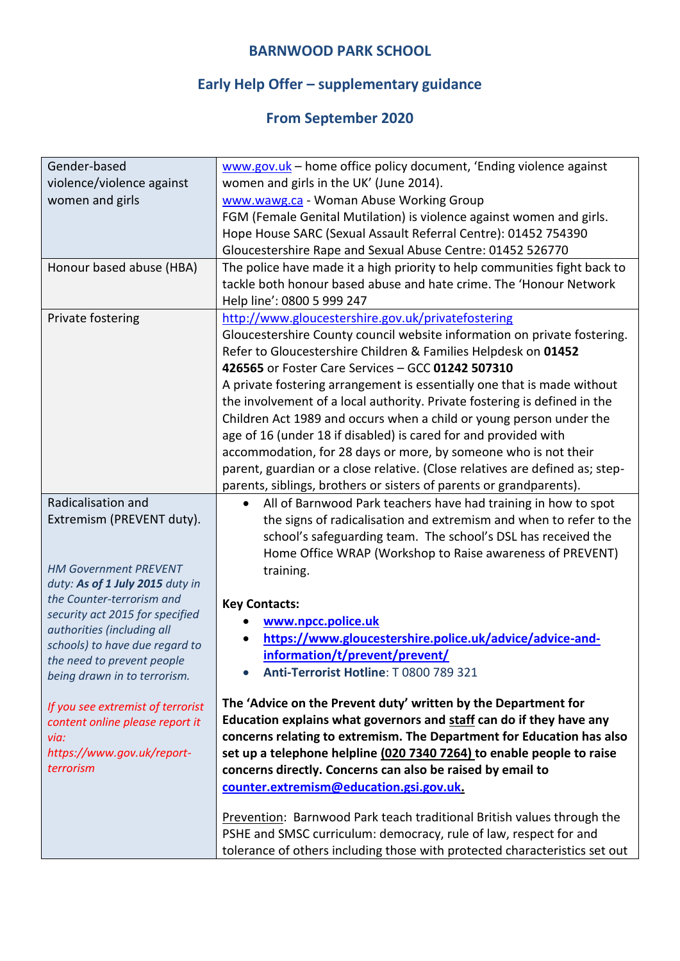# **Early Help Offer – supplementary guidance**

| Gender-based                                                    | www.gov.uk - home office policy document, 'Ending violence against           |
|-----------------------------------------------------------------|------------------------------------------------------------------------------|
| violence/violence against                                       | women and girls in the UK' (June 2014).                                      |
| women and girls                                                 | www.wawg.ca - Woman Abuse Working Group                                      |
|                                                                 | FGM (Female Genital Mutilation) is violence against women and girls.         |
|                                                                 | Hope House SARC (Sexual Assault Referral Centre): 01452 754390               |
|                                                                 | Gloucestershire Rape and Sexual Abuse Centre: 01452 526770                   |
| Honour based abuse (HBA)                                        | The police have made it a high priority to help communities fight back to    |
|                                                                 | tackle both honour based abuse and hate crime. The 'Honour Network           |
|                                                                 | Help line': 0800 5 999 247                                                   |
| Private fostering                                               | http://www.gloucestershire.gov.uk/privatefostering                           |
|                                                                 | Gloucestershire County council website information on private fostering.     |
|                                                                 | Refer to Gloucestershire Children & Families Helpdesk on 01452               |
|                                                                 | 426565 or Foster Care Services - GCC 01242 507310                            |
|                                                                 | A private fostering arrangement is essentially one that is made without      |
|                                                                 | the involvement of a local authority. Private fostering is defined in the    |
|                                                                 | Children Act 1989 and occurs when a child or young person under the          |
|                                                                 | age of 16 (under 18 if disabled) is cared for and provided with              |
|                                                                 | accommodation, for 28 days or more, by someone who is not their              |
|                                                                 | parent, guardian or a close relative. (Close relatives are defined as; step- |
|                                                                 | parents, siblings, brothers or sisters of parents or grandparents).          |
| Radicalisation and                                              | All of Barnwood Park teachers have had training in how to spot<br>$\bullet$  |
| Extremism (PREVENT duty).                                       | the signs of radicalisation and extremism and when to refer to the           |
|                                                                 | school's safeguarding team. The school's DSL has received the                |
|                                                                 | Home Office WRAP (Workshop to Raise awareness of PREVENT)                    |
| <b>HM Government PREVENT</b><br>duty: As of 1 July 2015 duty in | training.                                                                    |
| the Counter-terrorism and                                       |                                                                              |
| security act 2015 for specified                                 | <b>Key Contacts:</b>                                                         |
| authorities (including all                                      | www.npcc.police.uk                                                           |
| schools) to have due regard to                                  | https://www.gloucestershire.police.uk/advice/advice-and-<br>$\bullet$        |
| the need to prevent people                                      | information/t/prevent/prevent/                                               |
| being drawn in to terrorism.                                    | Anti-Terrorist Hotline: T 0800 789 321                                       |
| If you see extremist of terrorist                               | The 'Advice on the Prevent duty' written by the Department for               |
| content online please report it                                 | Education explains what governors and staff can do if they have any          |
| via:                                                            | concerns relating to extremism. The Department for Education has also        |
| https://www.gov.uk/report-                                      | set up a telephone helpline (020 7340 7264) to enable people to raise        |
| terrorism                                                       | concerns directly. Concerns can also be raised by email to                   |
|                                                                 | counter.extremism@education.gsi.gov.uk.                                      |
|                                                                 |                                                                              |
|                                                                 | Prevention: Barnwood Park teach traditional British values through the       |
|                                                                 | PSHE and SMSC curriculum: democracy, rule of law, respect for and            |
|                                                                 | tolerance of others including those with protected characteristics set out   |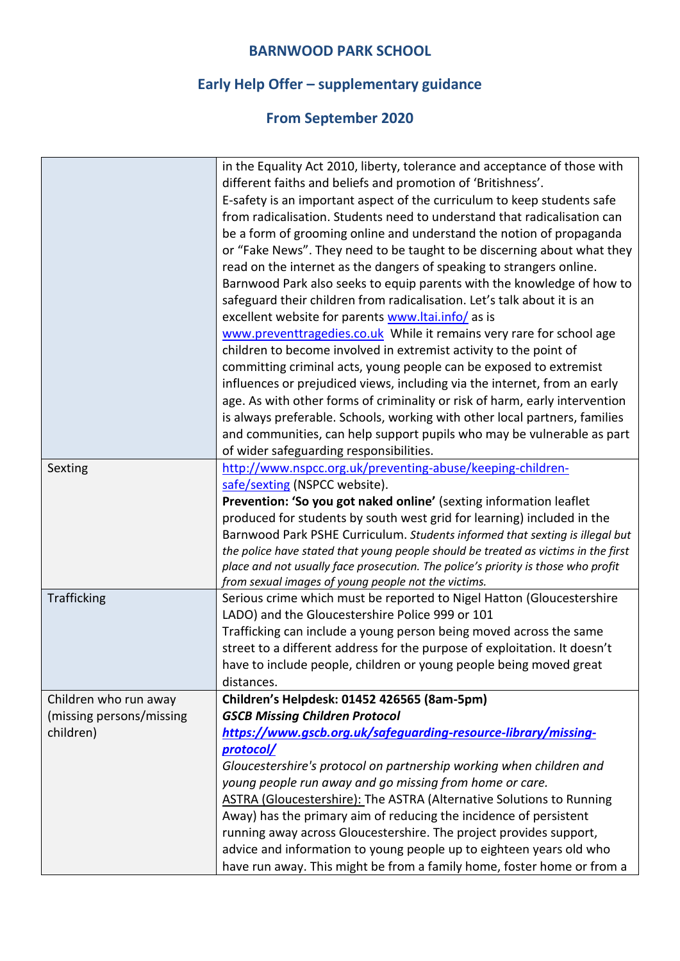# **Early Help Offer – supplementary guidance**

|                          | in the Equality Act 2010, liberty, tolerance and acceptance of those with<br>different faiths and beliefs and promotion of 'Britishness'.<br>E-safety is an important aspect of the curriculum to keep students safe<br>from radicalisation. Students need to understand that radicalisation can<br>be a form of grooming online and understand the notion of propaganda<br>or "Fake News". They need to be taught to be discerning about what they<br>read on the internet as the dangers of speaking to strangers online.<br>Barnwood Park also seeks to equip parents with the knowledge of how to<br>safeguard their children from radicalisation. Let's talk about it is an<br>excellent website for parents www.ltai.info/ as is<br>www.preventtragedies.co.uk While it remains very rare for school age<br>children to become involved in extremist activity to the point of<br>committing criminal acts, young people can be exposed to extremist<br>influences or prejudiced views, including via the internet, from an early<br>age. As with other forms of criminality or risk of harm, early intervention<br>is always preferable. Schools, working with other local partners, families<br>and communities, can help support pupils who may be vulnerable as part<br>of wider safeguarding responsibilities. |
|--------------------------|--------------------------------------------------------------------------------------------------------------------------------------------------------------------------------------------------------------------------------------------------------------------------------------------------------------------------------------------------------------------------------------------------------------------------------------------------------------------------------------------------------------------------------------------------------------------------------------------------------------------------------------------------------------------------------------------------------------------------------------------------------------------------------------------------------------------------------------------------------------------------------------------------------------------------------------------------------------------------------------------------------------------------------------------------------------------------------------------------------------------------------------------------------------------------------------------------------------------------------------------------------------------------------------------------------------------------|
| Sexting                  | http://www.nspcc.org.uk/preventing-abuse/keeping-children-                                                                                                                                                                                                                                                                                                                                                                                                                                                                                                                                                                                                                                                                                                                                                                                                                                                                                                                                                                                                                                                                                                                                                                                                                                                               |
|                          | safe/sexting (NSPCC website).                                                                                                                                                                                                                                                                                                                                                                                                                                                                                                                                                                                                                                                                                                                                                                                                                                                                                                                                                                                                                                                                                                                                                                                                                                                                                            |
|                          | Prevention: 'So you got naked online' (sexting information leaflet                                                                                                                                                                                                                                                                                                                                                                                                                                                                                                                                                                                                                                                                                                                                                                                                                                                                                                                                                                                                                                                                                                                                                                                                                                                       |
|                          | produced for students by south west grid for learning) included in the                                                                                                                                                                                                                                                                                                                                                                                                                                                                                                                                                                                                                                                                                                                                                                                                                                                                                                                                                                                                                                                                                                                                                                                                                                                   |
|                          | Barnwood Park PSHE Curriculum. Students informed that sexting is illegal but                                                                                                                                                                                                                                                                                                                                                                                                                                                                                                                                                                                                                                                                                                                                                                                                                                                                                                                                                                                                                                                                                                                                                                                                                                             |
|                          | the police have stated that young people should be treated as victims in the first                                                                                                                                                                                                                                                                                                                                                                                                                                                                                                                                                                                                                                                                                                                                                                                                                                                                                                                                                                                                                                                                                                                                                                                                                                       |
|                          | place and not usually face prosecution. The police's priority is those who profit                                                                                                                                                                                                                                                                                                                                                                                                                                                                                                                                                                                                                                                                                                                                                                                                                                                                                                                                                                                                                                                                                                                                                                                                                                        |
|                          | from sexual images of young people not the victims.                                                                                                                                                                                                                                                                                                                                                                                                                                                                                                                                                                                                                                                                                                                                                                                                                                                                                                                                                                                                                                                                                                                                                                                                                                                                      |
| Trafficking              | Serious crime which must be reported to Nigel Hatton (Gloucestershire                                                                                                                                                                                                                                                                                                                                                                                                                                                                                                                                                                                                                                                                                                                                                                                                                                                                                                                                                                                                                                                                                                                                                                                                                                                    |
|                          | LADO) and the Gloucestershire Police 999 or 101                                                                                                                                                                                                                                                                                                                                                                                                                                                                                                                                                                                                                                                                                                                                                                                                                                                                                                                                                                                                                                                                                                                                                                                                                                                                          |
|                          | Trafficking can include a young person being moved across the same                                                                                                                                                                                                                                                                                                                                                                                                                                                                                                                                                                                                                                                                                                                                                                                                                                                                                                                                                                                                                                                                                                                                                                                                                                                       |
|                          | street to a different address for the purpose of exploitation. It doesn't                                                                                                                                                                                                                                                                                                                                                                                                                                                                                                                                                                                                                                                                                                                                                                                                                                                                                                                                                                                                                                                                                                                                                                                                                                                |
|                          | have to include people, children or young people being moved great                                                                                                                                                                                                                                                                                                                                                                                                                                                                                                                                                                                                                                                                                                                                                                                                                                                                                                                                                                                                                                                                                                                                                                                                                                                       |
|                          | distances.                                                                                                                                                                                                                                                                                                                                                                                                                                                                                                                                                                                                                                                                                                                                                                                                                                                                                                                                                                                                                                                                                                                                                                                                                                                                                                               |
| Children who run away    | Children's Helpdesk: 01452 426565 (8am-5pm)                                                                                                                                                                                                                                                                                                                                                                                                                                                                                                                                                                                                                                                                                                                                                                                                                                                                                                                                                                                                                                                                                                                                                                                                                                                                              |
| (missing persons/missing | <b>GSCB Missing Children Protocol</b>                                                                                                                                                                                                                                                                                                                                                                                                                                                                                                                                                                                                                                                                                                                                                                                                                                                                                                                                                                                                                                                                                                                                                                                                                                                                                    |
| children)                | https://www.gscb.org.uk/safeguarding-resource-library/missing-                                                                                                                                                                                                                                                                                                                                                                                                                                                                                                                                                                                                                                                                                                                                                                                                                                                                                                                                                                                                                                                                                                                                                                                                                                                           |
|                          | protocol/                                                                                                                                                                                                                                                                                                                                                                                                                                                                                                                                                                                                                                                                                                                                                                                                                                                                                                                                                                                                                                                                                                                                                                                                                                                                                                                |
|                          | Gloucestershire's protocol on partnership working when children and                                                                                                                                                                                                                                                                                                                                                                                                                                                                                                                                                                                                                                                                                                                                                                                                                                                                                                                                                                                                                                                                                                                                                                                                                                                      |
|                          | young people run away and go missing from home or care.                                                                                                                                                                                                                                                                                                                                                                                                                                                                                                                                                                                                                                                                                                                                                                                                                                                                                                                                                                                                                                                                                                                                                                                                                                                                  |
|                          | <b>ASTRA (Gloucestershire): The ASTRA (Alternative Solutions to Running</b>                                                                                                                                                                                                                                                                                                                                                                                                                                                                                                                                                                                                                                                                                                                                                                                                                                                                                                                                                                                                                                                                                                                                                                                                                                              |
|                          | Away) has the primary aim of reducing the incidence of persistent                                                                                                                                                                                                                                                                                                                                                                                                                                                                                                                                                                                                                                                                                                                                                                                                                                                                                                                                                                                                                                                                                                                                                                                                                                                        |
|                          | running away across Gloucestershire. The project provides support,                                                                                                                                                                                                                                                                                                                                                                                                                                                                                                                                                                                                                                                                                                                                                                                                                                                                                                                                                                                                                                                                                                                                                                                                                                                       |
|                          | advice and information to young people up to eighteen years old who                                                                                                                                                                                                                                                                                                                                                                                                                                                                                                                                                                                                                                                                                                                                                                                                                                                                                                                                                                                                                                                                                                                                                                                                                                                      |
|                          | have run away. This might be from a family home, foster home or from a                                                                                                                                                                                                                                                                                                                                                                                                                                                                                                                                                                                                                                                                                                                                                                                                                                                                                                                                                                                                                                                                                                                                                                                                                                                   |